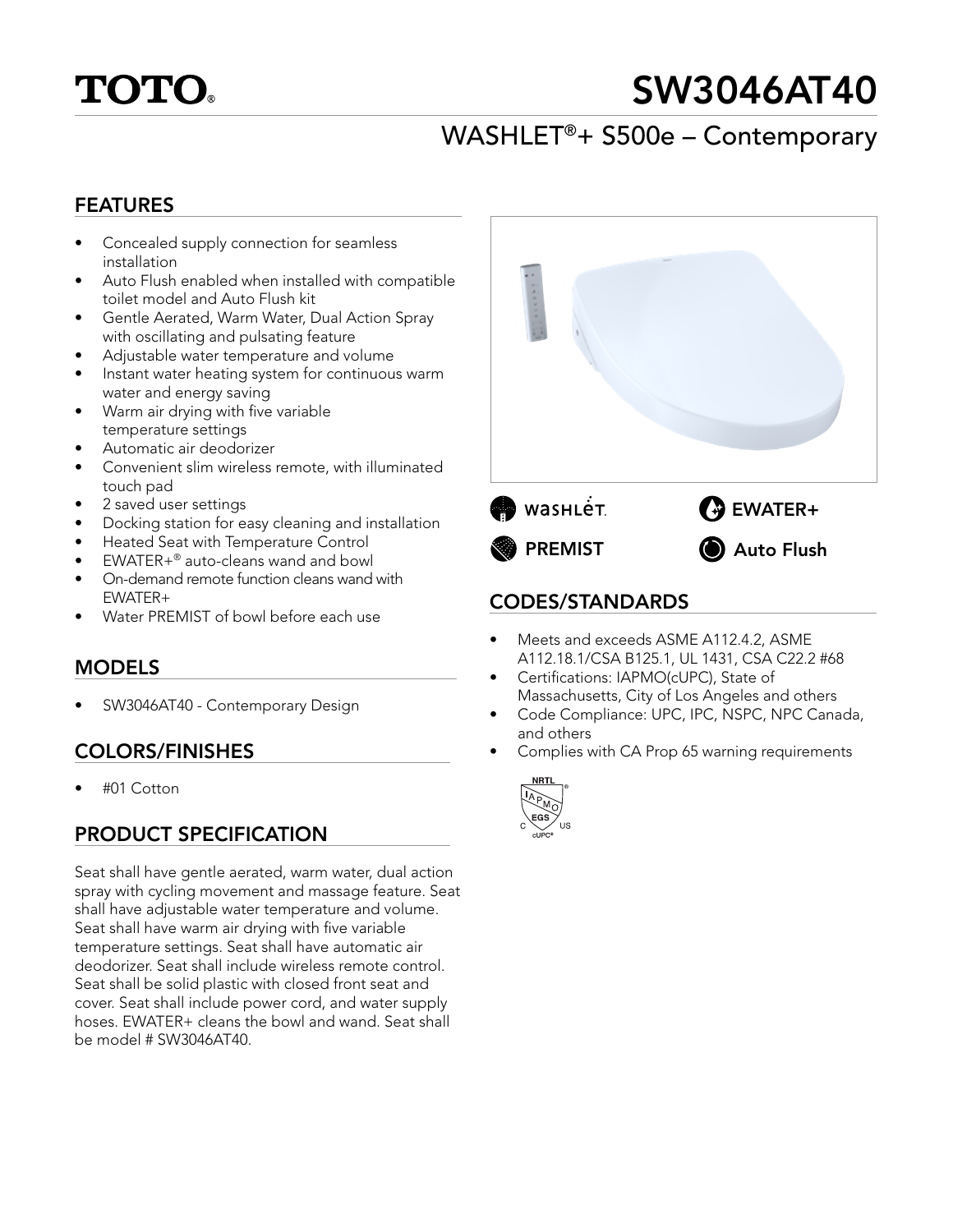

# SW3046AT40

## WASHLET®+ S500e – Contemporary

### FEATURES

- Concealed supply connection for seamless installation
- Auto Flush enabled when installed with compatible toilet model and Auto Flush kit
- Gentle Aerated, Warm Water, Dual Action Spray with oscillating and pulsating feature
- Adjustable water temperature and volume
- Instant water heating system for continuous warm water and energy saving
- Warm air drying with five variable temperature settings
- Automatic air deodorizer
- Convenient slim wireless remote, with illuminated touch pad
- 2 saved user settings
- Docking station for easy cleaning and installation
- Heated Seat with Temperature Control
- EWATER+® auto-cleans wand and bowl
- On-demand remote function cleans wand with EWATER+ EWATER+<br>
Water PREMIST of bowl before each use **CODES/STANDARDS**
- 

### MODELS

• SW3046AT40 - Contemporary Design

### COLORS/FINISHES

• #01 Cotton

### PRODUCT SPECIFICATION

Seat shall have gentle aerated, warm water, dual action spray with cycling movement and massage feature. Seat shall have adjustable water temperature and volume. Seat shall have warm air drying with five variable temperature settings. Seat shall have automatic air deodorizer. Seat shall include wireless remote control. Seat shall be solid plastic with closed front seat and cover. Seat shall include power cord, and water supply hoses. EWATER+ cleans the bowl and wand. Seat shall be model # SW3046AT40.



- Meets and exceeds ASME A112.4.2, ASME A112.18.1/CSA B125.1, UL 1431, CSA C22.2 #68
- Certifications: IAPMO(cUPC), State of Massachusetts, City of Los Angeles and others
- Code Compliance: UPC, IPC, NSPC, NPC Canada, and others
- Complies with CA Prop 65 warning requirements